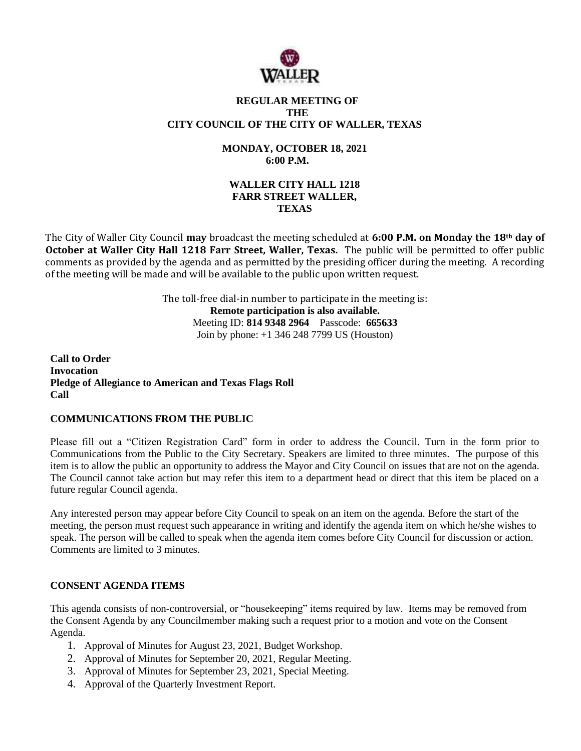

#### **REGULAR MEETING OF THE CITY COUNCIL OF THE CITY OF WALLER, TEXAS**

# **MONDAY, OCTOBER 18, 2021 6:00 P.M.**

## **WALLER CITY HALL 1218 FARR STREET WALLER, TEXAS**

The City of Waller City Council **may** broadcast the meeting scheduled at **6:00 P.M. on Monday the 18th day of October at Waller City Hall 1218 Farr Street, Waller, Texas.** The public will be permitted to offer public comments as provided by the agenda and as permitted by the presiding officer during the meeting. A recording of the meeting will be made and will be available to the public upon written request.

> The toll-free dial-in number to participate in the meeting is: **Remote participation is also available.** Meeting ID: **814 9348 2964** Passcode: **665633** Join by phone: +1 346 248 7799 US (Houston)

**Call to Order Invocation Pledge of Allegiance to American and Texas Flags Roll Call**

## **COMMUNICATIONS FROM THE PUBLIC**

Please fill out a "Citizen Registration Card" form in order to address the Council. Turn in the form prior to Communications from the Public to the City Secretary. Speakers are limited to three minutes. The purpose of this item is to allow the public an opportunity to address the Mayor and City Council on issues that are not on the agenda. The Council cannot take action but may refer this item to a department head or direct that this item be placed on a future regular Council agenda.

Any interested person may appear before City Council to speak on an item on the agenda. Before the start of the meeting, the person must request such appearance in writing and identify the agenda item on which he/she wishes to speak. The person will be called to speak when the agenda item comes before City Council for discussion or action. Comments are limited to 3 minutes.

## **CONSENT AGENDA ITEMS**

This agenda consists of non-controversial, or "housekeeping" items required by law. Items may be removed from the Consent Agenda by any Councilmember making such a request prior to a motion and vote on the Consent Agenda.

- 1. Approval of Minutes for August 23, 2021, Budget Workshop.
- 2. Approval of Minutes for September 20, 2021, Regular Meeting.
- 3. Approval of Minutes for September 23, 2021, Special Meeting.
- 4. Approval of the Quarterly Investment Report.